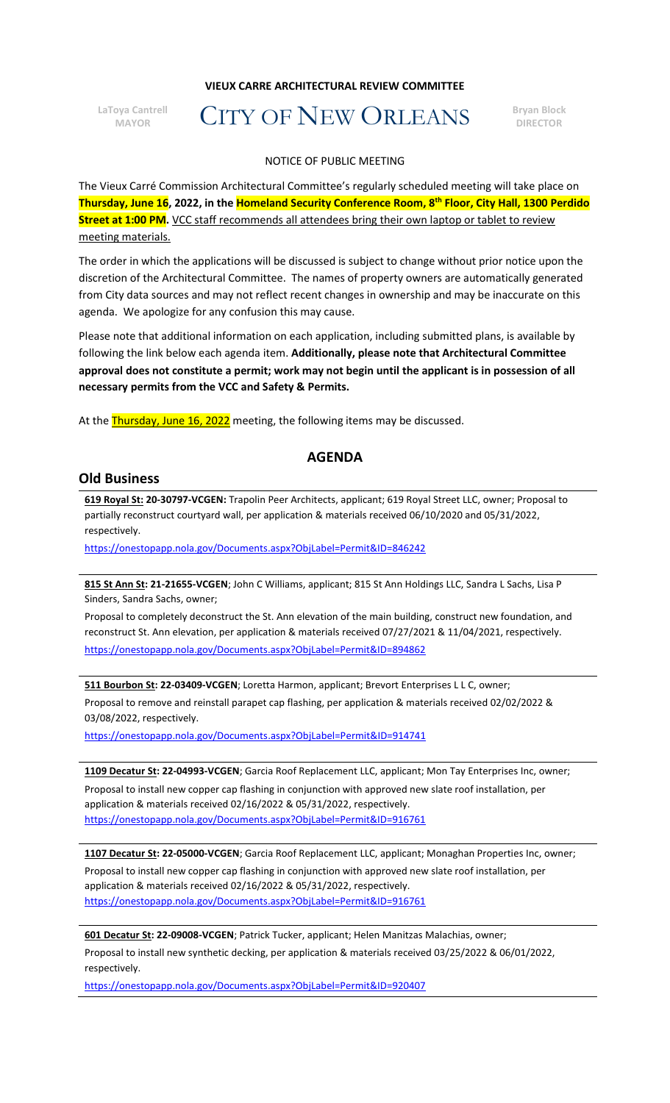## **VIEUX CARRE ARCHITECTURAL REVIEW COMMITTEE**

**LaToya Cantrell**

# **MAYOR CONSTRANT CONSTRANT CONSTRANT OF NEW ORLEANS** BIOCH

#### NOTICE OF PUBLIC MEETING

The Vieux Carré Commission Architectural Committee's regularly scheduled meeting will take place on **Thursday, June 16, 2022, in the Homeland Security Conference Room, 8th Floor, City Hall, 1300 Perdido Street at 1:00 PM.** VCC staff recommends all attendees bring their own laptop or tablet to review meeting materials.

The order in which the applications will be discussed is subject to change without prior notice upon the discretion of the Architectural Committee. The names of property owners are automatically generated from City data sources and may not reflect recent changes in ownership and may be inaccurate on this agenda. We apologize for any confusion this may cause.

Please note that additional information on each application, including submitted plans, is available by following the link below each agenda item. **Additionally, please note that Architectural Committee approval does not constitute a permit; work may not begin until the applicant is in possession of all necessary permits from the VCC and Safety & Permits.**

At the **Thursday, June 16, 2022** meeting, the following items may be discussed.

# **AGENDA**

# **Old Business**

**619 Royal St: 20-30797-VCGEN:** Trapolin Peer Architects, applicant; 619 Royal Street LLC, owner; Proposal to partially reconstruct courtyard wall, per application & materials received 06/10/2020 and 05/31/2022, respectively.

<https://onestopapp.nola.gov/Documents.aspx?ObjLabel=Permit&ID=846242>

**815 St Ann St: 21-21655-VCGEN**; John C Williams, applicant; 815 St Ann Holdings LLC, Sandra L Sachs, Lisa P Sinders, Sandra Sachs, owner;

Proposal to completely deconstruct the St. Ann elevation of the main building, construct new foundation, and reconstruct St. Ann elevation, per application & materials received 07/27/2021 & 11/04/2021, respectively. <https://onestopapp.nola.gov/Documents.aspx?ObjLabel=Permit&ID=894862>

**511 Bourbon St: 22-03409-VCGEN**; Loretta Harmon, applicant; Brevort Enterprises L L C, owner; Proposal to remove and reinstall parapet cap flashing, per application & materials received 02/02/2022 & 03/08/2022, respectively.

<https://onestopapp.nola.gov/Documents.aspx?ObjLabel=Permit&ID=914741>

**1109 Decatur St: 22-04993-VCGEN**; Garcia Roof Replacement LLC, applicant; Mon Tay Enterprises Inc, owner; Proposal to install new copper cap flashing in conjunction with approved new slate roof installation, per application & materials received 02/16/2022 & 05/31/2022, respectively. <https://onestopapp.nola.gov/Documents.aspx?ObjLabel=Permit&ID=916761>

**1107 Decatur St: 22-05000-VCGEN**; Garcia Roof Replacement LLC, applicant; Monaghan Properties Inc, owner; Proposal to install new copper cap flashing in conjunction with approved new slate roof installation, per application & materials received 02/16/2022 & 05/31/2022, respectively. <https://onestopapp.nola.gov/Documents.aspx?ObjLabel=Permit&ID=916761>

**601 Decatur St: 22-09008-VCGEN**; Patrick Tucker, applicant; Helen Manitzas Malachias, owner; Proposal to install new synthetic decking, per application & materials received 03/25/2022 & 06/01/2022, respectively.

<https://onestopapp.nola.gov/Documents.aspx?ObjLabel=Permit&ID=920407>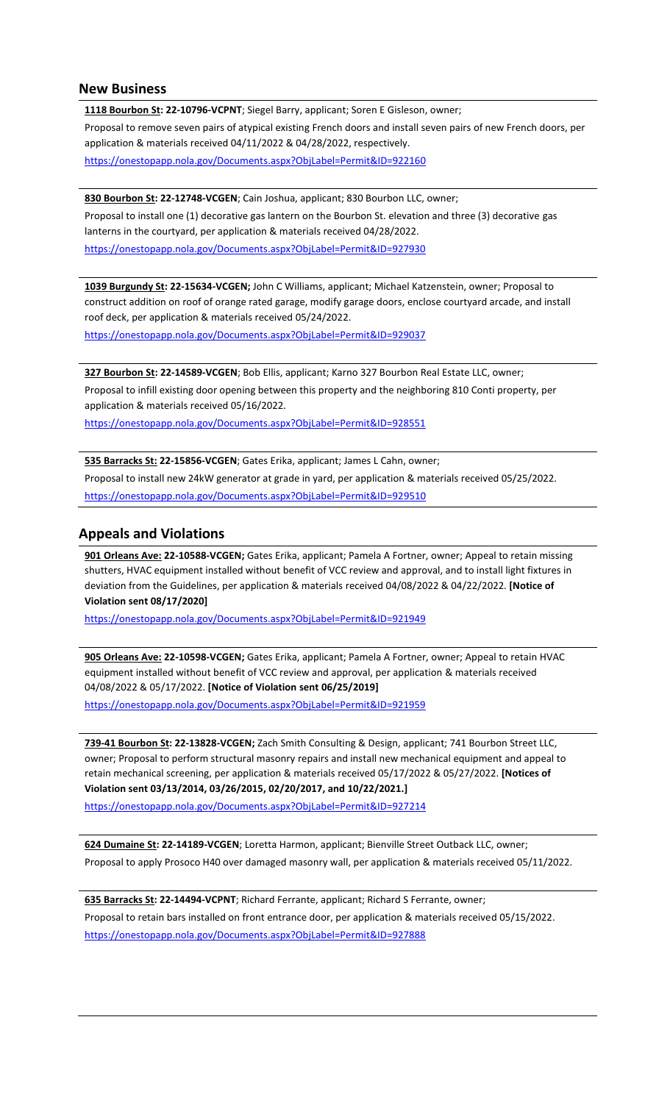## **New Business**

**1118 Bourbon St: 22-10796-VCPNT**; Siegel Barry, applicant; Soren E Gisleson, owner; Proposal to remove seven pairs of atypical existing French doors and install seven pairs of new French doors, per application & materials received 04/11/2022 & 04/28/2022, respectively. <https://onestopapp.nola.gov/Documents.aspx?ObjLabel=Permit&ID=922160>

**830 Bourbon St: 22-12748-VCGEN**; Cain Joshua, applicant; 830 Bourbon LLC, owner; Proposal to install one (1) decorative gas lantern on the Bourbon St. elevation and three (3) decorative gas lanterns in the courtyard, per application & materials received 04/28/2022. <https://onestopapp.nola.gov/Documents.aspx?ObjLabel=Permit&ID=927930>

**1039 Burgundy St: 22-15634-VCGEN;** John C Williams, applicant; Michael Katzenstein, owner; Proposal to construct addition on roof of orange rated garage, modify garage doors, enclose courtyard arcade, and install roof deck, per application & materials received 05/24/2022.

<https://onestopapp.nola.gov/Documents.aspx?ObjLabel=Permit&ID=929037>

**327 Bourbon St: 22-14589-VCGEN**; Bob Ellis, applicant; Karno 327 Bourbon Real Estate LLC, owner; Proposal to infill existing door opening between this property and the neighboring 810 Conti property, per application & materials received 05/16/2022. <https://onestopapp.nola.gov/Documents.aspx?ObjLabel=Permit&ID=928551>

**535 Barracks St: 22-15856-VCGEN**; Gates Erika, applicant; James L Cahn, owner; Proposal to install new 24kW generator at grade in yard, per application & materials received 05/25/2022. <https://onestopapp.nola.gov/Documents.aspx?ObjLabel=Permit&ID=929510>

# **Appeals and Violations**

**901 Orleans Ave: 22-10588-VCGEN;** Gates Erika, applicant; Pamela A Fortner, owner; Appeal to retain missing shutters, HVAC equipment installed without benefit of VCC review and approval, and to install light fixtures in deviation from the Guidelines, per application & materials received 04/08/2022 & 04/22/2022. **[Notice of Violation sent 08/17/2020]**

<https://onestopapp.nola.gov/Documents.aspx?ObjLabel=Permit&ID=921949>

**905 Orleans Ave: 22-10598-VCGEN;** Gates Erika, applicant; Pamela A Fortner, owner; Appeal to retain HVAC equipment installed without benefit of VCC review and approval, per application & materials received 04/08/2022 & 05/17/2022. **[Notice of Violation sent 06/25/2019]** <https://onestopapp.nola.gov/Documents.aspx?ObjLabel=Permit&ID=921959>

**739-41 Bourbon St: 22-13828-VCGEN;** Zach Smith Consulting & Design, applicant; 741 Bourbon Street LLC, owner; Proposal to perform structural masonry repairs and install new mechanical equipment and appeal to retain mechanical screening, per application & materials received 05/17/2022 & 05/27/2022. **[Notices of Violation sent 03/13/2014, 03/26/2015, 02/20/2017, and 10/22/2021.]**

<https://onestopapp.nola.gov/Documents.aspx?ObjLabel=Permit&ID=927214>

**624 Dumaine St: 22-14189-VCGEN**; Loretta Harmon, applicant; Bienville Street Outback LLC, owner; Proposal to apply Prosoco H40 over damaged masonry wall, per application & materials received 05/11/2022.

**635 Barracks St: 22-14494-VCPNT**; Richard Ferrante, applicant; Richard S Ferrante, owner; Proposal to retain bars installed on front entrance door, per application & materials received 05/15/2022. <https://onestopapp.nola.gov/Documents.aspx?ObjLabel=Permit&ID=927888>